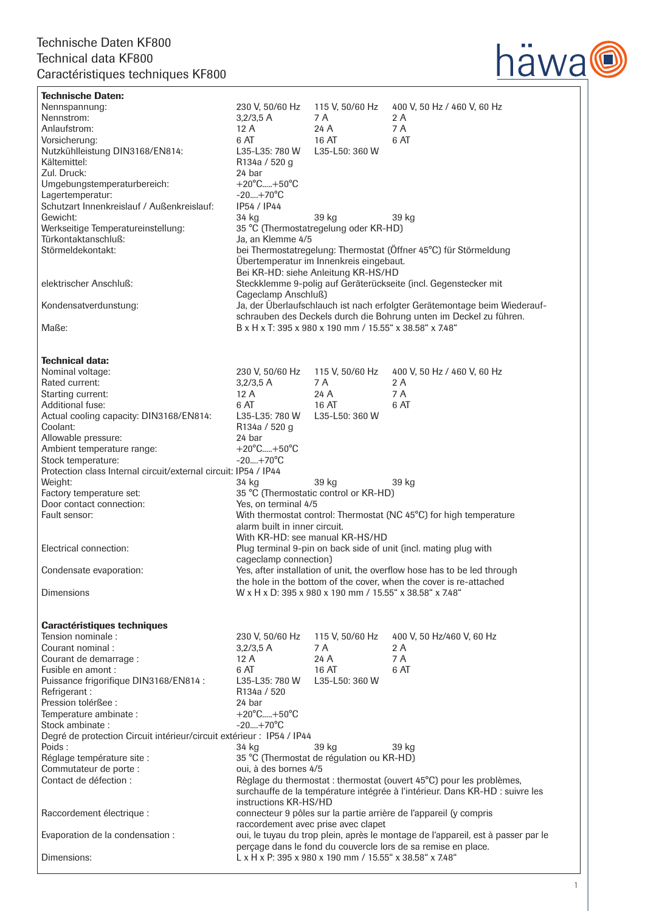

Technische Daten: Nennspannung: 230 V, 50/60 Hz 115 V, 50/60 Hz 400 V, 50 Hz / 460 V, 60 Hz Nennstrom: 3,2/3,5 A 7 A 2 A<br>Anlaufstrom: 12 A 24 A 7 A Anlaufstrom: 12 A Vorsicherung: 6 AT 16 AT 6 AT Nutzkühlleistung DIN3168/EN814: Kältemittel:  $\overline{R}$  R134a / 520 g Zul. Druck: 24 bar<br>Umgebungstemperaturbereich: +20°C.....+50°C Umgebungstemperaturbereich: +20°C.....+50<br>Lagertemperatur: -20....+70°C Lagertemperatur:  $-20...+70^{\circ}$ C<br>Schutzart Innenkreislauf / Außenkreislauf: IP54 / IP44 Schutzart Innenkreislauf / Außenkreislauf: Gewicht: 34 kg 39 kg 39 kg Werkseitige Temperatureinstellung: 35 °C (Thermostatregelung oder KR-HD) Türkontaktanschluß: Ja, an Klemme 4/5 Störmeldekontakt: bei Thermostatregelung: Thermostat (Öffner 45°C) für Störmeldung Übertemperatur im Innenkreis eingebaut. Bei KR-HD: siehe Anleitung KR-HS/HD<br>Steckklemme 9-polig auf Geräterückseit Steckklemme 9-polig auf Geräterückseite (incl. Gegenstecker mit Cageclamp Anschluß) Kondensatverdunstung: Ja, der Überlaufschlauch ist nach erfolgter Gerätemontage beim Wiederauf schrauben des Deckels durch die Bohrung unten im Deckel zu führen.<br>B x H x T: 395 x 980 x 190 mm / 15.55" x 38.58" x 748" Maße: B x H x T: 395 x 980 x 190 mm / 15.55" x 38.58" x 7.48" **Technical data:**<br>Nominal voltage: 230 V, 50/60 Hz 115 V, 50/60 Hz 400 V, 50 Hz / 460 V, 60 Hz<br>3.2/3.5 A 7 A 2 A Rated current: Starting current:  $12 \text{ A}$  24 A 7 A<br>Additional fuse:  $6 \text{ AT}$  16 AT 6 AT Additional fuse: Actual cooling capacity: DIN3168/EN814: L35-L35: 780 W L35-L50: 360 W Coolant: R134a / 520 g Allowable pressure: 24 bar Ambient temperature range:  $+20^{\circ}$ C.....+50°C<br>Stock temperature:  $-20...+70^{\circ}$ C Stock temperature: Protection class Internal circuit/external circuit: IP54 / IP44 Weight: 34 kg 39 kg 39 kg Factory temperature set: 35 °C (Thermostatic control or KR-HD) Door contact connection: Ves, on terminal 4/5 Fault sensor: Thermostat control: Thermostat (NC 45°C) for high temperature alarm built in inner circuit. With KR-HD: see manual KR-HS/HD<br>Plug terminal 9-pin on back side of u Plug terminal 9-pin on back side of unit (incl. mating plug with cageclamp connection) Condensate evaporation: Yes, after installation of unit, the overflow hose has to be led through the hole in the bottom of the cover, when the cover is re-attached Dimensions W x H x D: 395 x 980 x 190 mm / 15.55" x 38.58" x 7.48" Caractéristiques techniques Tension nominale : 230 V, 50/60 Hz 115 V, 50/60 Hz 400 V, 50 Hz/460 V, 60 Hz Courant nominal :<br>
Courant de demarrage :<br>
24 A 24 A 24 A 27 A Courant de demarrage : 12 A 24 A<br>Fusible en amont : 6 AT 16 A Fusible en amont : 6 AT 16 AT 6 AT Puissance frigorifique DIN3168/EN814 : L35-L35: 780<br>Refrigerant : 320 Refrigerant : Pression tolérßee : 24 bar Temperature ambinate :  $+20^{\circ}$ C.....+50°C Stock ambinate :  $-20...+70^{\circ}C$ Degré de protection Circuit intérieur/circuit extérieur : IP54 / IP44 Poids : 34 kg 39 kg 39 kg Réglage température site : 35 °C (Thermostat de régulation ou KR-HD) Commutateur de porte : oui, à des bornes 4/5 Contact de défection : Règlage du thermostat : thermostat (ouvert 45°C) pour les problèmes, surchauffe de la température intégrée à l'intérieur. Dans KR-HD : suivre les instructions KR-HS/HD Raccordement électrique : connecteur 9 pôles sur la partie arrière de l'appareil (y compris raccordement avec prise avec clapet Evaporation de la condensation : oui, le tuyau du trop plein, après le montage de l'appareil, est à passer par le perçage dans le fond du couvercle lors de sa remise en place.<br>
1 x H x P: 395 x 980 x 190 mm / 15.55" x 38.58" x 748" L x H x P: 395 x 980 x 190 mm / 15.55" x 38.58" x 7.48"